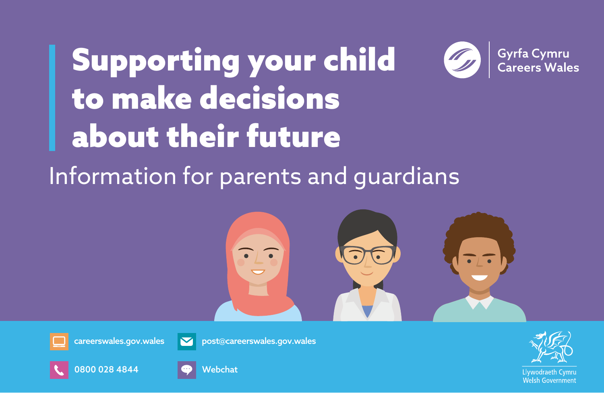## Gyrfa Cymru<br>Careers Wales Supporting your child to make decisions about their future Information for parents and guardians



[careerswales.gov.wales](https://careerswales.gov.wales)







[post@careerswales.gov.wales](mailto:post%40careerswales.gov.wales?subject=Careers%20Wales)



Welsh Governmen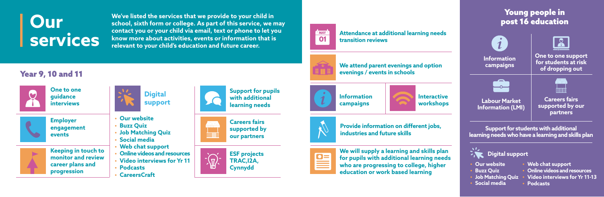**We've listed the services that we provide to your child in school, sixth form or college. As part of this service, we may contact you or your child via email, text or phone to let you know more about activities, events or information that is relevant to your child's education and future career.**



# **Our services**

**We attend parent evenings and option evenings / events in schools**



**We will supply a learning and skills plan for pupils with additional learning needs who are progressing to college, higher education or work based learning**



Year 9, 10 and 11





**Provide information on different jobs, industries and future skills**



#### Young people in post 16 education



**Support for students with additional learning needs who have a learning and skills plan**

#### **Digital support**

**One to one guidance interviews**

**Employer engagement events**



**Careers fairs supported by our partners**







- **• Our website**
- **• Buzz Quiz**
- **• Job Matching Quiz**
- **• Social media**
- **• Web chat support**
- **• Online videos and resources**
- **• Video interviews for Yr 11**
- **• Podcasts**
- **• CareersCraft**



- **• Our website**
- **• Buzz Quiz**
- **• Job Matching Quiz**
- **• Social media**
- **• Web chat support**
- **• Online videos and resources**
- **• Video interviews for Yr 11-13**
- **• Podcasts**



**Support for pupils with additional learning needs**



**Information campaigns**



**Interactive workshops**



E

**Attendance at additional learning needs transition reviews**

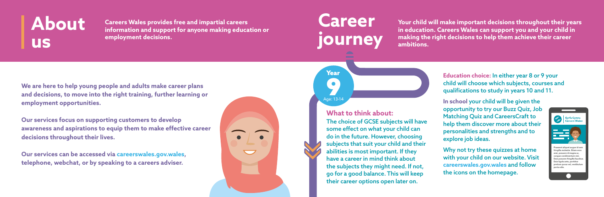# **About us**

**We are here to help young people and adults make career plans and decisions, to move into the right training, further learning or employment opportunities.**

**Our services focus on supporting customers to develop awareness and aspirations to equip them to make effective career decisions throughout their lives.**

**Our services can be accessed vi[a careerswales.gov.wales,](https://careerswales.gov.wales)  telephone, webchat, or by speaking to a careers adviser.**



**Careers Wales provides free and impartial careers information and support for anyone making education or employment decisions.**

> **Education choice:** In either year 8 or 9 your child will choose which subjects, courses and qualifications to study in years 10 and 11.

The choice of GCSE subjects will have some effect on what your child can do in the future. However, choosing subjects that suit your child and their abilities is most important. If they have a career in mind think about the subjects they might need. If not, go for a good balance. This will keep their career options open later on.

**Your child will make important decisions throughout their years in education. Careers Wales can support you and your child in making the right decisions to help them achieve their career ambitions.**

**Career journey**

**Age: 13-14** 

**In school** your child will be given the opportunity to try our Buzz Quiz, Job Matching Quiz and CareersCraft to help them discover more about their personalities and strengths and to explore job ideas.

Why not try these quizzes at home with your child on our website. Visit **[careerswales.gov.wales](mailto:https://careerswales.gov.wales?subject=Careers%20Wales)** and follow the icons on the homepage.

**What to think about:**



Year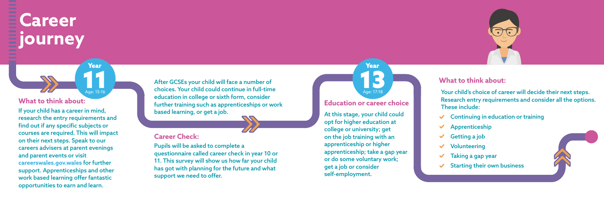After GCSEs your child will face a number of choices. Your child could continue in full-time education in college or sixth form, consider further training such as apprenticeships or work based learning, or get a job.

#### **Career Check:**

Pupils will be asked to complete a questionnaire called career check in year 10 or 11. This survey will show us how far your child has got with planning for the future and what support we need to offer.

# **Career journey**

## **Education or career choice** Age: 17-18 **13**

If your child has a career in mind, research the entry requirements and find out if any specific subjects or courses are required. This will impact on their next steps. Speak to our careers advisers at parent evenings and parent events or visit **[careerswales.gov.wales](https://careerswales.gov.wales)** for further support. Apprenticeships and other work based learning offer fantastic opportunities to earn and learn.

**Age: 15-16** 

- 
- $\vee$  Apprenticeship
- $\checkmark$  Getting a job
- $\vee$  Volunteering
- Taking a gap year
- 



#### **What to think about:**

Year

At this stage, your child could opt for higher education at college or university; get on the job training with an apprenticeship or higher apprenticeship; take a gap year or do some voluntary work; get a job or consider self-employment.

#### **What to think about:**

Your child's choice of career will decide their next steps. Research entry requirements and consider all the options.

 $\vee$  Continuing in education or training

- 
- 
- 
- 
- $\checkmark$  Starting their own business



These include:

Year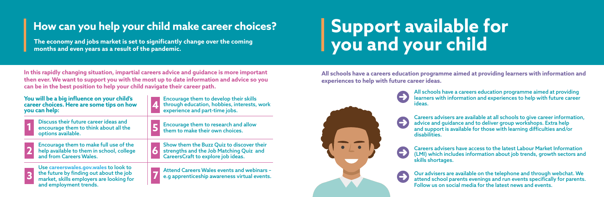The economy and jobs market is set to significantly change over the coming **Solut and your child months and even years as a result of the pandemic.** 

# How can you help your child make career choices? **Support available for**

**In this rapidly changing situation, impartial careers advice and guidance is more important then ever. We want to support you with the most up to date information and advice so you can be in the best position to help your child navigate their career path.**

| You will be a big influence on your child's                                                                                                            | Encourage them to develop their skills                                                     |
|--------------------------------------------------------------------------------------------------------------------------------------------------------|--------------------------------------------------------------------------------------------|
| career choices. Here are some tips on how                                                                                                              | through education, hobbies, interests, work                                                |
| you can help:                                                                                                                                          | experience and part-time jobs.                                                             |
| Discuss their future career ideas and<br>encourage them to think about all the<br>options available.                                                   | Encourage them to research and allow<br>them to make their own choices.                    |
| Encourage them to make full use of the                                                                                                                 | Show them the Buzz Quiz to discover their                                                  |
| help available to them in school, college                                                                                                              | strengths and the Job Matching Quiz and                                                    |
| and from Careers Wales.                                                                                                                                | CareersCraft to explore job ideas.                                                         |
| Use careerswales.gov.wales to look to<br>the future by finding out about the job<br>market, skills employers are looking for<br>and employment trends. | Attend Careers Wales events and webinars -<br>e.g apprenticeship awareness virtual events. |

**All schools have a careers education programme aimed at providing learners with information and experiences to help with future career ideas.**



All schools have a careers education programme aimed at providing learners with information and experiences to help with future career ideas.

Careers advisers are available at all schools to give career information, advice and guidance and to deliver group workshops. Extra help and support is available for those with learning difficulties and/or disabilities.

Careers advisers have access to the latest Labour Market Information (LMI) which includes information about job trends, growth sectors and skills shortages.

Our advisers are available on the telephone and through webchat. We attend school parents evenings and run events specifically for parents. Follow us on social media for the latest news and events.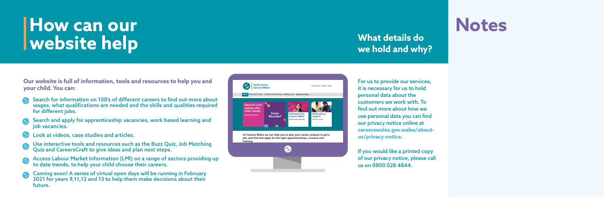**Our website is full of information, tools and resources to help you and your child. You can:**

- Search for information on 100's of different careers to find out more about wages, what qualifications are needed and the skills and qualities required for different jobs.
- Search and apply for apprenticeship vacancies, work based learning and job vacancies.
- Look at videos, case studies and articles.
- Use interactive tools and resources such as the Buzz Quiz, Job Matching Quiz and CareersCraft to give ideas and plan next steps.
- Access Labour Market Information (LMI) on a range of sectors providing up to date trends, to help your child choose their careers.
- Coming soon! A series of virtual open days will be running in February 2021 for years 9,11,12 and 13 to help them make decisions about their future.

# **How can our website help**



### **What details do we hold and why?**

For us to provide our services, it is necessary for us to hold personal data about the customers we work with. To find out more about how we use personal data you can find our privacy notice online at **[careerswales.gov.wales/about](https://careerswales.gov.wales/about-us/privacy-notice)us/privacy-notice**.

If you would like a printed copy of our privacy notice, please call us on 0800 028 4844.